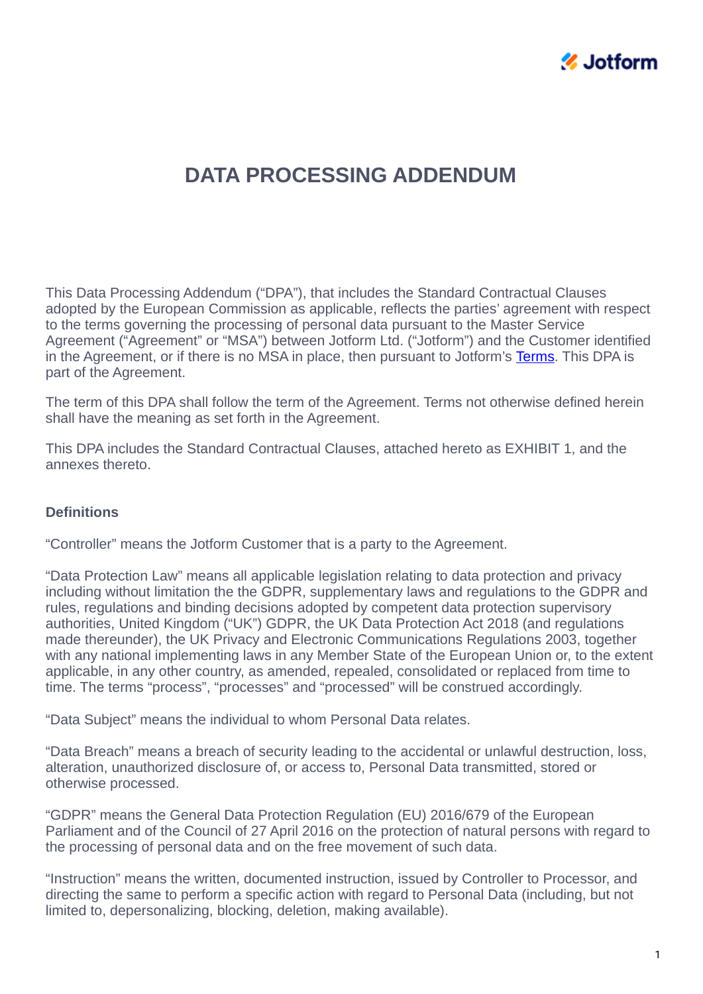

# **DATA PROCESSING ADDENDUM**

This Data Processing Addendum ("DPA"), that includes the Standard Contractual Clauses adopted by the European Commission as applicable, reflects the parties' agreement with respect to the terms governing the processing of personal data pursuant to the Master Service Agreement ("Agreement" or "MSA") between Jotform Ltd. ("Jotform") and the Customer identified in the Agreement, or if there is no MSA in place, then pursuant to Jotform's [Terms.](https://www.jotform.com/terms/) This DPA is part of the Agreement.

The term of this DPA shall follow the term of the Agreement. Terms not otherwise defined herein shall have the meaning as set forth in the Agreement.

This DPA includes the Standard Contractual Clauses, attached hereto as EXHIBIT 1, and the annexes thereto.

#### **Definitions**

"Controller" means the Jotform Customer that is a party to the Agreement.

"Data Protection Law" means all applicable legislation relating to data protection and privacy including without limitation the the GDPR, supplementary laws and regulations to the GDPR and rules, regulations and binding decisions adopted by competent data protection supervisory authorities, United Kingdom ("UK") GDPR, the UK Data Protection Act 2018 (and regulations made thereunder), the UK Privacy and Electronic Communications Regulations 2003, together with any national implementing laws in any Member State of the European Union or, to the extent applicable, in any other country, as amended, repealed, consolidated or replaced from time to time. The terms "process", "processes" and "processed" will be construed accordingly.

"Data Subject" means the individual to whom Personal Data relates.

"Data Breach" means a breach of security leading to the accidental or unlawful destruction, loss, alteration, unauthorized disclosure of, or access to, Personal Data transmitted, stored or otherwise processed.

"GDPR" means the General Data Protection Regulation (EU) 2016/679 of the European Parliament and of the Council of 27 April 2016 on the protection of natural persons with regard to the processing of personal data and on the free movement of such data.

"Instruction" means the written, documented instruction, issued by Controller to Processor, and directing the same to perform a specific action with regard to Personal Data (including, but not limited to, depersonalizing, blocking, deletion, making available).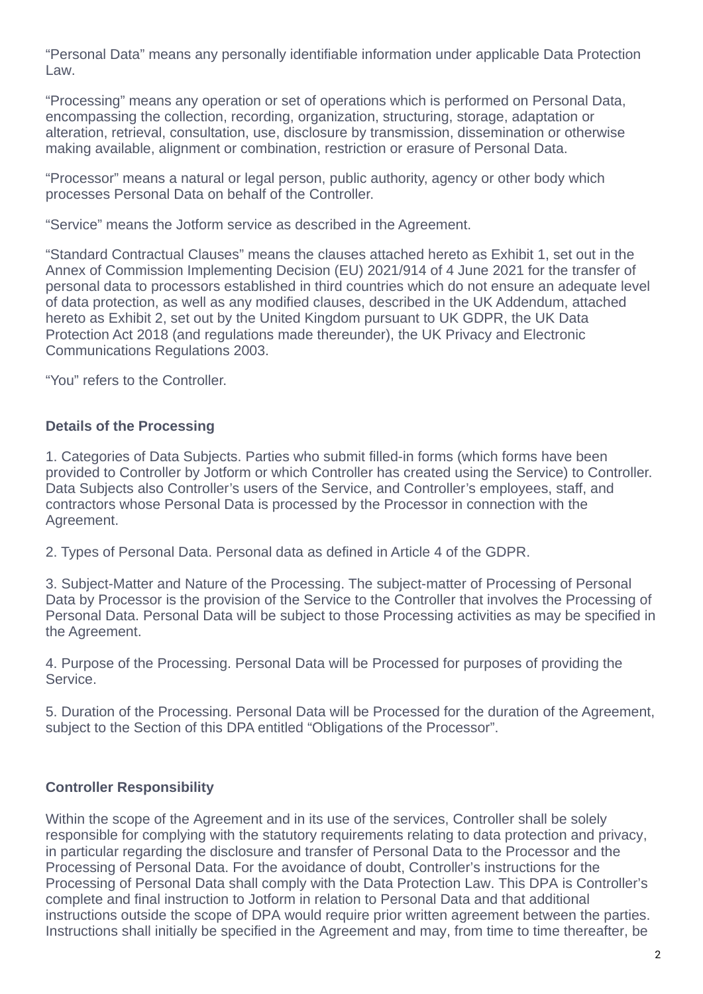"Personal Data" means any personally identifiable information under applicable Data Protection Law.

"Processing" means any operation or set of operations which is performed on Personal Data, encompassing the collection, recording, organization, structuring, storage, adaptation or alteration, retrieval, consultation, use, disclosure by transmission, dissemination or otherwise making available, alignment or combination, restriction or erasure of Personal Data.

"Processor" means a natural or legal person, public authority, agency or other body which processes Personal Data on behalf of the Controller.

"Service" means the Jotform service as described in the Agreement.

"Standard Contractual Clauses" means the clauses attached hereto as Exhibit 1, set out in the Annex of Commission Implementing Decision (EU) 2021/914 of 4 June 2021 for the transfer of personal data to processors established in third countries which do not ensure an adequate level of data protection, as well as any modified clauses, described in the UK Addendum, attached hereto as Exhibit 2, set out by the United Kingdom pursuant to UK GDPR, the UK Data Protection Act 2018 (and regulations made thereunder), the UK Privacy and Electronic Communications Regulations 2003.

"You" refers to the Controller.

# **Details of the Processing**

1. Categories of Data Subjects. Parties who submit filled-in forms (which forms have been provided to Controller by Jotform or which Controller has created using the Service) to Controller. Data Subjects also Controller's users of the Service, and Controller's employees, staff, and contractors whose Personal Data is processed by the Processor in connection with the Agreement.

2. Types of Personal Data. Personal data as defined in Article 4 of the GDPR.

3. Subject-Matter and Nature of the Processing. The subject-matter of Processing of Personal Data by Processor is the provision of the Service to the Controller that involves the Processing of Personal Data. Personal Data will be subject to those Processing activities as may be specified in the Agreement.

4. Purpose of the Processing. Personal Data will be Processed for purposes of providing the Service.

5. Duration of the Processing. Personal Data will be Processed for the duration of the Agreement, subject to the Section of this DPA entitled "Obligations of the Processor".

# **Controller Responsibility**

Within the scope of the Agreement and in its use of the services, Controller shall be solely responsible for complying with the statutory requirements relating to data protection and privacy, in particular regarding the disclosure and transfer of Personal Data to the Processor and the Processing of Personal Data. For the avoidance of doubt, Controller's instructions for the Processing of Personal Data shall comply with the Data Protection Law. This DPA is Controller's complete and final instruction to Jotform in relation to Personal Data and that additional instructions outside the scope of DPA would require prior written agreement between the parties. Instructions shall initially be specified in the Agreement and may, from time to time thereafter, be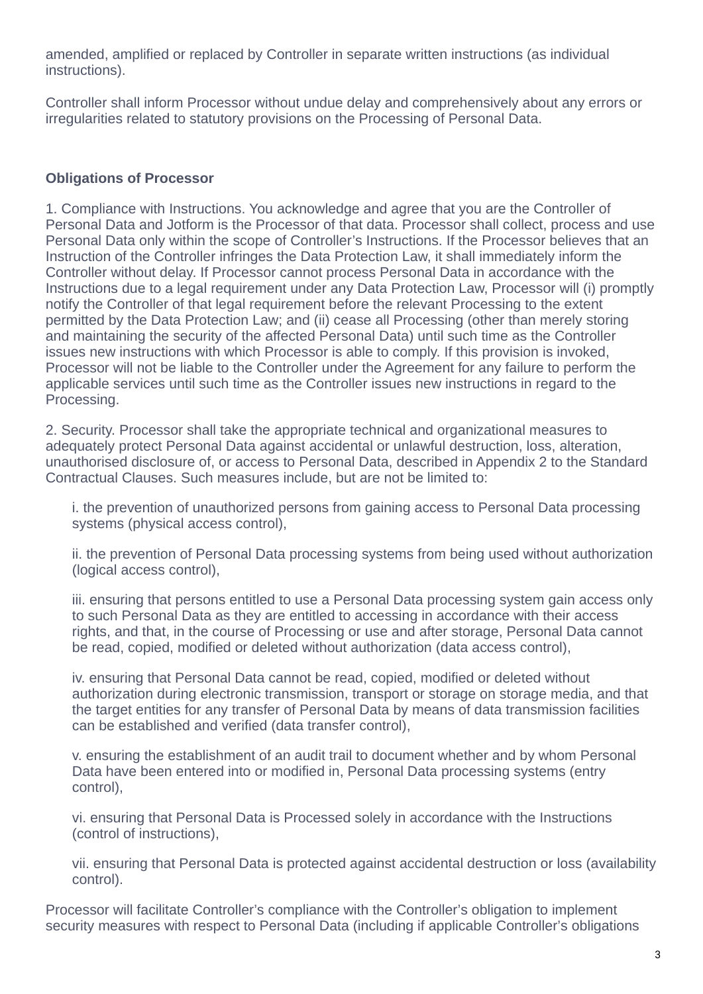amended, amplified or replaced by Controller in separate written instructions (as individual instructions).

Controller shall inform Processor without undue delay and comprehensively about any errors or irregularities related to statutory provisions on the Processing of Personal Data.

## **Obligations of Processor**

1. Compliance with Instructions. You acknowledge and agree that you are the Controller of Personal Data and Jotform is the Processor of that data. Processor shall collect, process and use Personal Data only within the scope of Controller's Instructions. If the Processor believes that an Instruction of the Controller infringes the Data Protection Law, it shall immediately inform the Controller without delay. If Processor cannot process Personal Data in accordance with the Instructions due to a legal requirement under any Data Protection Law, Processor will (i) promptly notify the Controller of that legal requirement before the relevant Processing to the extent permitted by the Data Protection Law; and (ii) cease all Processing (other than merely storing and maintaining the security of the affected Personal Data) until such time as the Controller issues new instructions with which Processor is able to comply. If this provision is invoked, Processor will not be liable to the Controller under the Agreement for any failure to perform the applicable services until such time as the Controller issues new instructions in regard to the Processing.

2. Security. Processor shall take the appropriate technical and organizational measures to adequately protect Personal Data against accidental or unlawful destruction, loss, alteration, unauthorised disclosure of, or access to Personal Data, described in Appendix 2 to the Standard Contractual Clauses. Such measures include, but are not be limited to:

i. the prevention of unauthorized persons from gaining access to Personal Data processing systems (physical access control),

ii. the prevention of Personal Data processing systems from being used without authorization (logical access control),

iii. ensuring that persons entitled to use a Personal Data processing system gain access only to such Personal Data as they are entitled to accessing in accordance with their access rights, and that, in the course of Processing or use and after storage, Personal Data cannot be read, copied, modified or deleted without authorization (data access control),

iv. ensuring that Personal Data cannot be read, copied, modified or deleted without authorization during electronic transmission, transport or storage on storage media, and that the target entities for any transfer of Personal Data by means of data transmission facilities can be established and verified (data transfer control),

v. ensuring the establishment of an audit trail to document whether and by whom Personal Data have been entered into or modified in, Personal Data processing systems (entry control),

vi. ensuring that Personal Data is Processed solely in accordance with the Instructions (control of instructions),

vii. ensuring that Personal Data is protected against accidental destruction or loss (availability control).

Processor will facilitate Controller's compliance with the Controller's obligation to implement security measures with respect to Personal Data (including if applicable Controller's obligations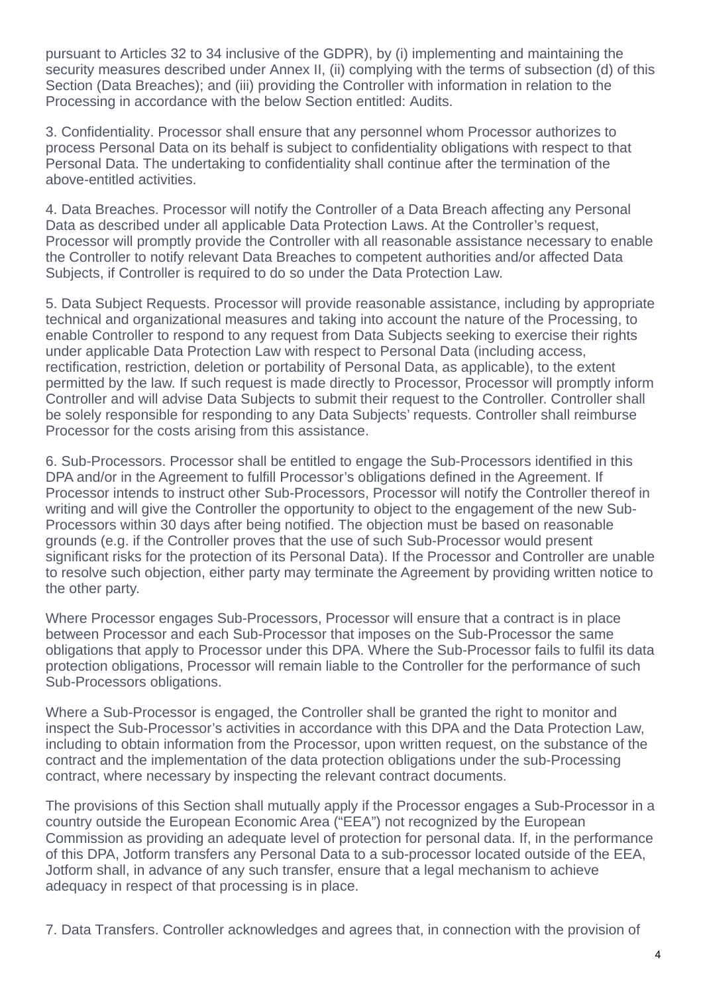pursuant to Articles 32 to 34 inclusive of the GDPR), by (i) implementing and maintaining the security measures described under Annex II, (ii) complying with the terms of subsection (d) of this Section (Data Breaches); and (iii) providing the Controller with information in relation to the Processing in accordance with the below Section entitled: Audits.

3. Confidentiality. Processor shall ensure that any personnel whom Processor authorizes to process Personal Data on its behalf is subject to confidentiality obligations with respect to that Personal Data. The undertaking to confidentiality shall continue after the termination of the above-entitled activities.

4. Data Breaches. Processor will notify the Controller of a Data Breach affecting any Personal Data as described under all applicable Data Protection Laws. At the Controller's request, Processor will promptly provide the Controller with all reasonable assistance necessary to enable the Controller to notify relevant Data Breaches to competent authorities and/or affected Data Subjects, if Controller is required to do so under the Data Protection Law.

5. Data Subject Requests. Processor will provide reasonable assistance, including by appropriate technical and organizational measures and taking into account the nature of the Processing, to enable Controller to respond to any request from Data Subjects seeking to exercise their rights under applicable Data Protection Law with respect to Personal Data (including access, rectification, restriction, deletion or portability of Personal Data, as applicable), to the extent permitted by the law. If such request is made directly to Processor, Processor will promptly inform Controller and will advise Data Subjects to submit their request to the Controller. Controller shall be solely responsible for responding to any Data Subjects' requests. Controller shall reimburse Processor for the costs arising from this assistance.

6. Sub-Processors. Processor shall be entitled to engage the Sub-Processors identified in this DPA and/or in the Agreement to fulfill Processor's obligations defined in the Agreement. If Processor intends to instruct other Sub-Processors, Processor will notify the Controller thereof in writing and will give the Controller the opportunity to object to the engagement of the new Sub-Processors within 30 days after being notified. The objection must be based on reasonable grounds (e.g. if the Controller proves that the use of such Sub-Processor would present significant risks for the protection of its Personal Data). If the Processor and Controller are unable to resolve such objection, either party may terminate the Agreement by providing written notice to the other party.

Where Processor engages Sub-Processors, Processor will ensure that a contract is in place between Processor and each Sub-Processor that imposes on the Sub-Processor the same obligations that apply to Processor under this DPA. Where the Sub-Processor fails to fulfil its data protection obligations, Processor will remain liable to the Controller for the performance of such Sub-Processors obligations.

Where a Sub-Processor is engaged, the Controller shall be granted the right to monitor and inspect the Sub-Processor's activities in accordance with this DPA and the Data Protection Law, including to obtain information from the Processor, upon written request, on the substance of the contract and the implementation of the data protection obligations under the sub-Processing contract, where necessary by inspecting the relevant contract documents.

The provisions of this Section shall mutually apply if the Processor engages a Sub-Processor in a country outside the European Economic Area ("EEA") not recognized by the European Commission as providing an adequate level of protection for personal data. If, in the performance of this DPA, Jotform transfers any Personal Data to a sub-processor located outside of the EEA, Jotform shall, in advance of any such transfer, ensure that a legal mechanism to achieve adequacy in respect of that processing is in place.

7. Data Transfers. Controller acknowledges and agrees that, in connection with the provision of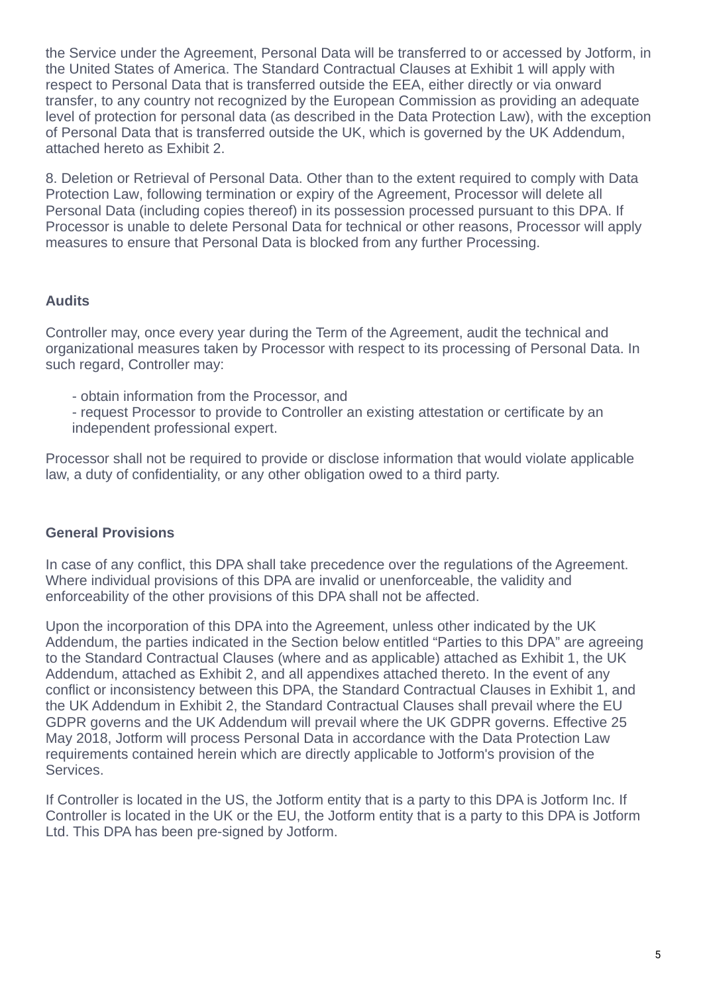the Service under the Agreement, Personal Data will be transferred to or accessed by Jotform, in the United States of America. The Standard Contractual Clauses at Exhibit 1 will apply with respect to Personal Data that is transferred outside the EEA, either directly or via onward transfer, to any country not recognized by the European Commission as providing an adequate level of protection for personal data (as described in the Data Protection Law), with the exception of Personal Data that is transferred outside the UK, which is governed by the UK Addendum, attached hereto as Exhibit 2.

8. Deletion or Retrieval of Personal Data. Other than to the extent required to comply with Data Protection Law, following termination or expiry of the Agreement, Processor will delete all Personal Data (including copies thereof) in its possession processed pursuant to this DPA. If Processor is unable to delete Personal Data for technical or other reasons, Processor will apply measures to ensure that Personal Data is blocked from any further Processing.

# **Audits**

Controller may, once every year during the Term of the Agreement, audit the technical and organizational measures taken by Processor with respect to its processing of Personal Data. In such regard, Controller may:

- obtain information from the Processor, and
- request Processor to provide to Controller an existing attestation or certificate by an independent professional expert.

Processor shall not be required to provide or disclose information that would violate applicable law, a duty of confidentiality, or any other obligation owed to a third party.

# **General Provisions**

In case of any conflict, this DPA shall take precedence over the regulations of the Agreement. Where individual provisions of this DPA are invalid or unenforceable, the validity and enforceability of the other provisions of this DPA shall not be affected.

Upon the incorporation of this DPA into the Agreement, unless other indicated by the UK Addendum, the parties indicated in the Section below entitled "Parties to this DPA" are agreeing to the Standard Contractual Clauses (where and as applicable) attached as Exhibit 1, the UK Addendum, attached as Exhibit 2, and all appendixes attached thereto. In the event of any conflict or inconsistency between this DPA, the Standard Contractual Clauses in Exhibit 1, and the UK Addendum in Exhibit 2, the Standard Contractual Clauses shall prevail where the EU GDPR governs and the UK Addendum will prevail where the UK GDPR governs. Effective 25 May 2018, Jotform will process Personal Data in accordance with the Data Protection Law requirements contained herein which are directly applicable to Jotform's provision of the Services.

If Controller is located in the US, the Jotform entity that is a party to this DPA is Jotform Inc. If Controller is located in the UK or the EU, the Jotform entity that is a party to this DPA is Jotform Ltd. This DPA has been pre-signed by Jotform.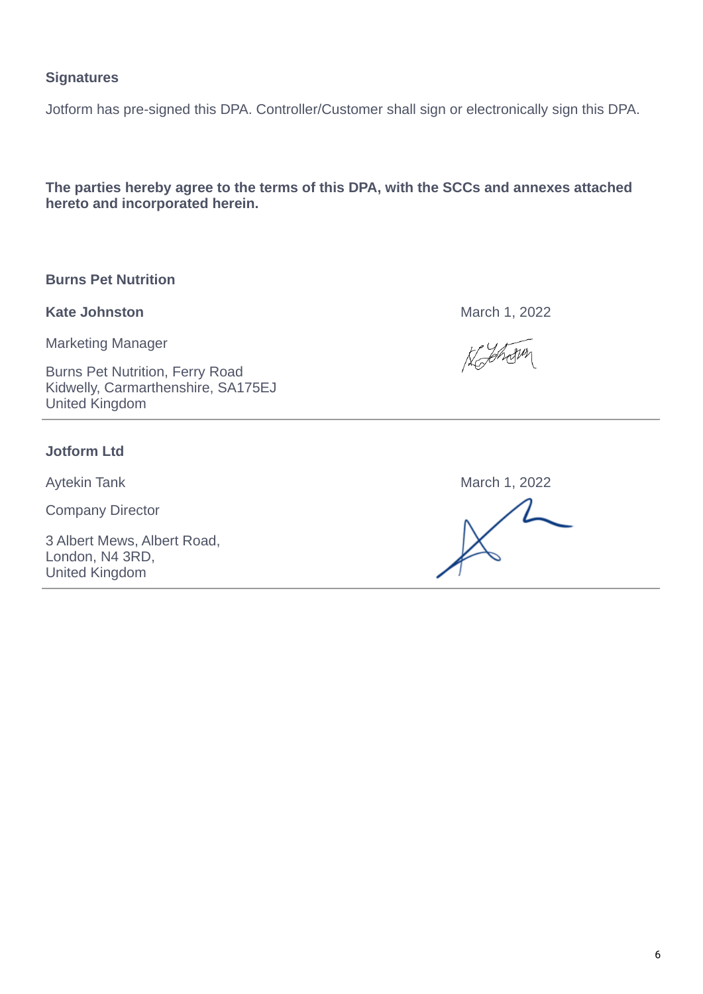#### **Signatures**

Jotform has pre-signed this DPA. Controller/Customer shall sign or electronically sign this DPA.

**The parties hereby agree to the terms of this DPA, with the SCCs and annexes attached hereto and incorporated herein.**

**Burns Pet Nutrition**

**Kate Johnston** March 1, 2022

Marketing Manager

Burns Pet Nutrition, Ferry Road Kidwelly, Carmarthenshire, SA175EJ United Kingdom

#### **Jotform Ltd**

Company Director

3 Albert Mews, Albert Road, London, N4 3RD, United Kingdom

Kongun

Aytekin Tank March 1, 2022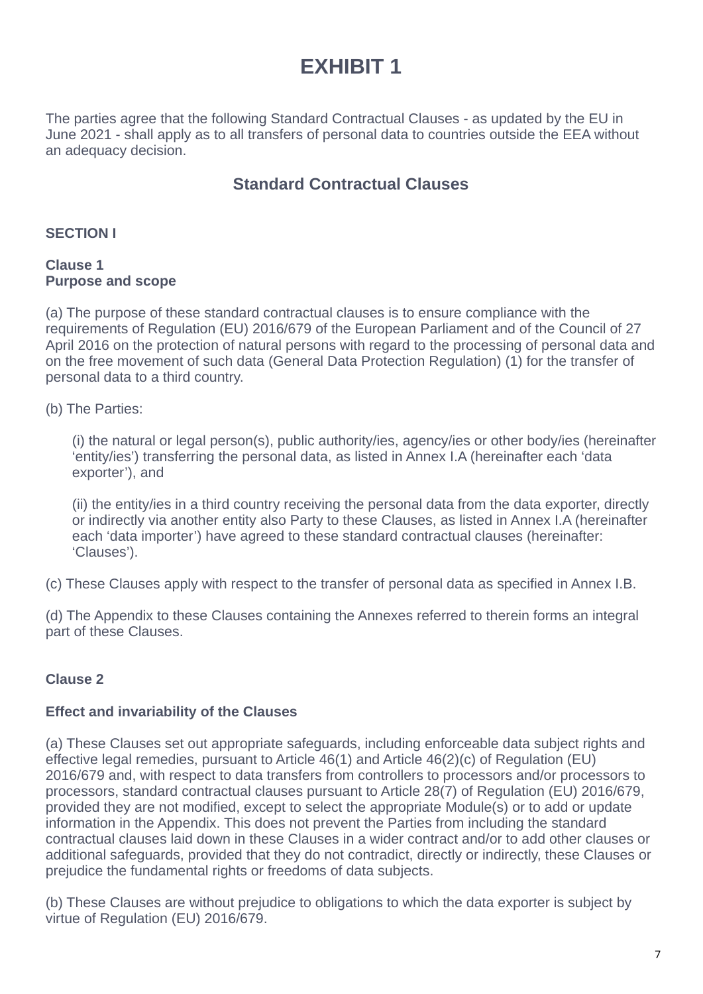# **EXHIBIT 1**

The parties agree that the following Standard Contractual Clauses - as updated by the EU in June 2021 - shall apply as to all transfers of personal data to countries outside the EEA without an adequacy decision.

# **Standard Contractual Clauses**

#### **SECTION I**

#### **Clause 1 Purpose and scope**

(a) The purpose of these standard contractual clauses is to ensure compliance with the requirements of Regulation (EU) 2016/679 of the European Parliament and of the Council of 27 April 2016 on the protection of natural persons with regard to the processing of personal data and on the free movement of such data (General Data Protection Regulation) (1) for the transfer of personal data to a third country.

(b) The Parties:

(i) the natural or legal person(s), public authority/ies, agency/ies or other body/ies (hereinafter 'entity/ies') transferring the personal data, as listed in Annex I.A (hereinafter each 'data exporter'), and

(ii) the entity/ies in a third country receiving the personal data from the data exporter, directly or indirectly via another entity also Party to these Clauses, as listed in Annex I.A (hereinafter each 'data importer') have agreed to these standard contractual clauses (hereinafter: 'Clauses').

(c) These Clauses apply with respect to the transfer of personal data as specified in Annex I.B.

(d) The Appendix to these Clauses containing the Annexes referred to therein forms an integral part of these Clauses.

# **Clause 2**

#### **Effect and invariability of the Clauses**

(a) These Clauses set out appropriate safeguards, including enforceable data subject rights and effective legal remedies, pursuant to Article 46(1) and Article 46(2)(c) of Regulation (EU) 2016/679 and, with respect to data transfers from controllers to processors and/or processors to processors, standard contractual clauses pursuant to Article 28(7) of Regulation (EU) 2016/679, provided they are not modified, except to select the appropriate Module(s) or to add or update information in the Appendix. This does not prevent the Parties from including the standard contractual clauses laid down in these Clauses in a wider contract and/or to add other clauses or additional safeguards, provided that they do not contradict, directly or indirectly, these Clauses or prejudice the fundamental rights or freedoms of data subjects.

(b) These Clauses are without prejudice to obligations to which the data exporter is subject by virtue of Regulation (EU) 2016/679.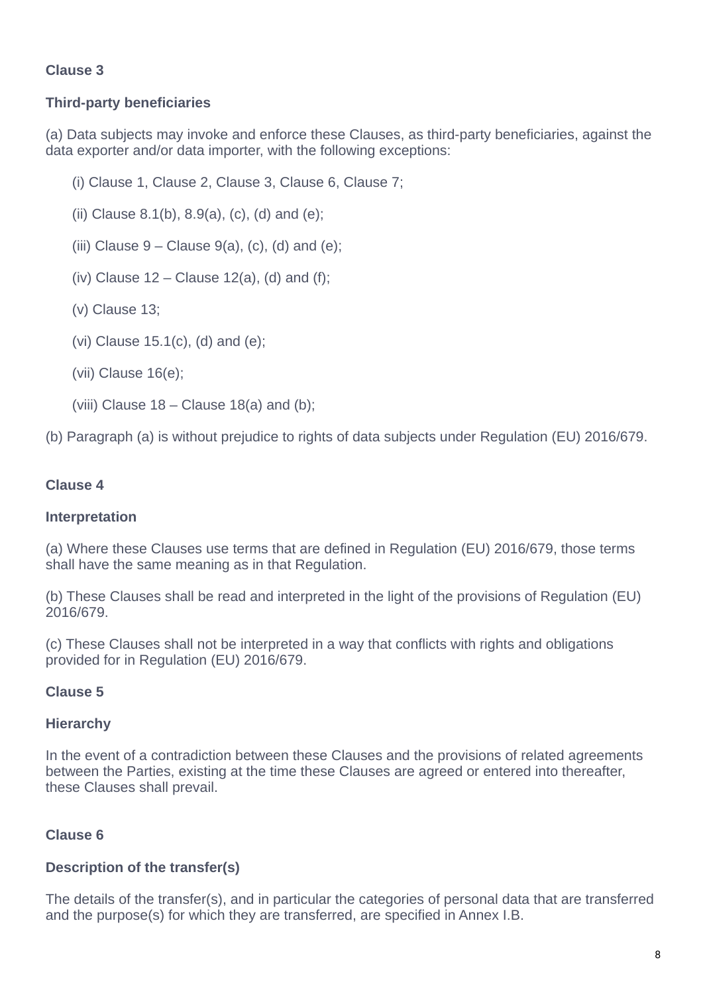# **Clause 3**

# **Third-party beneficiaries**

(a) Data subjects may invoke and enforce these Clauses, as third-party beneficiaries, against the data exporter and/or data importer, with the following exceptions:

(i) Clause 1, Clause 2, Clause 3, Clause 6, Clause 7;

(ii) Clause 8.1(b), 8.9(a), (c), (d) and (e);

(iii) Clause  $9 -$  Clause  $9(a)$ , (c), (d) and (e);

(iv) Clause  $12 -$  Clause  $12(a)$ , (d) and (f);

(v) Clause 13;

(vi) Clause  $15.1(c)$ , (d) and (e);

(vii) Clause 16(e);

(viii) Clause  $18 -$  Clause  $18(a)$  and (b);

(b) Paragraph (a) is without prejudice to rights of data subjects under Regulation (EU) 2016/679.

#### **Clause 4**

#### **Interpretation**

(a) Where these Clauses use terms that are defined in Regulation (EU) 2016/679, those terms shall have the same meaning as in that Regulation.

(b) These Clauses shall be read and interpreted in the light of the provisions of Regulation (EU) 2016/679.

(c) These Clauses shall not be interpreted in a way that conflicts with rights and obligations provided for in Regulation (EU) 2016/679.

#### **Clause 5**

#### **Hierarchy**

In the event of a contradiction between these Clauses and the provisions of related agreements between the Parties, existing at the time these Clauses are agreed or entered into thereafter, these Clauses shall prevail.

#### **Clause 6**

#### **Description of the transfer(s)**

The details of the transfer(s), and in particular the categories of personal data that are transferred and the purpose(s) for which they are transferred, are specified in Annex I.B.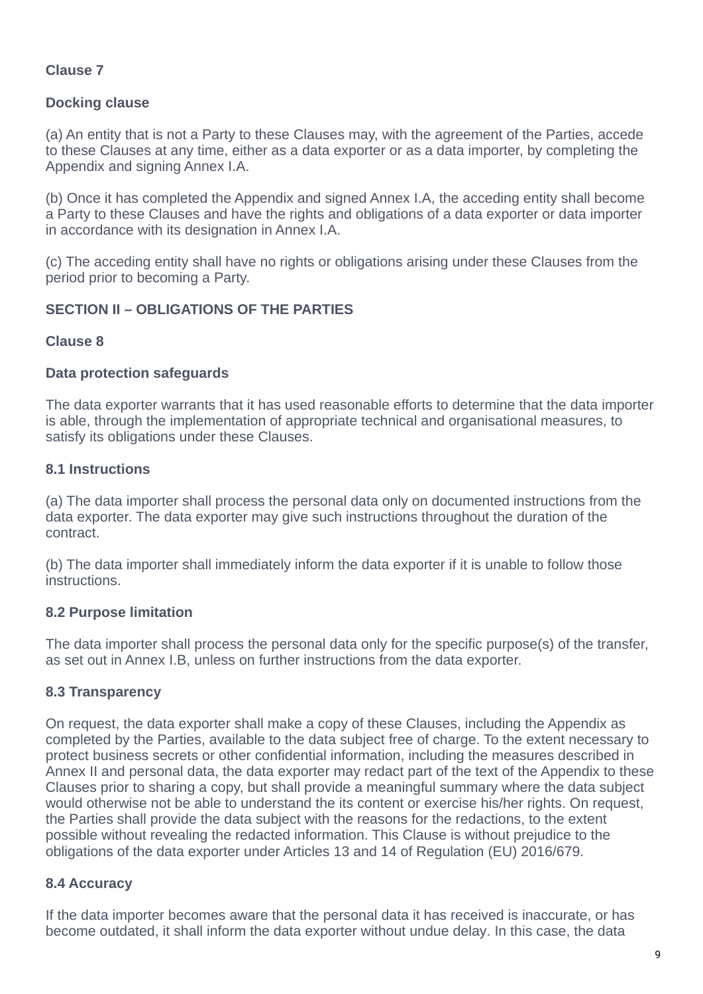# **Clause 7**

## **Docking clause**

(a) An entity that is not a Party to these Clauses may, with the agreement of the Parties, accede to these Clauses at any time, either as a data exporter or as a data importer, by completing the Appendix and signing Annex I.A.

(b) Once it has completed the Appendix and signed Annex I.A, the acceding entity shall become a Party to these Clauses and have the rights and obligations of a data exporter or data importer in accordance with its designation in Annex I.A.

(c) The acceding entity shall have no rights or obligations arising under these Clauses from the period prior to becoming a Party.

## **SECTION II – OBLIGATIONS OF THE PARTIES**

#### **Clause 8**

#### **Data protection safeguards**

The data exporter warrants that it has used reasonable efforts to determine that the data importer is able, through the implementation of appropriate technical and organisational measures, to satisfy its obligations under these Clauses.

#### **8.1 Instructions**

(a) The data importer shall process the personal data only on documented instructions from the data exporter. The data exporter may give such instructions throughout the duration of the contract.

(b) The data importer shall immediately inform the data exporter if it is unable to follow those instructions.

#### **8.2 Purpose limitation**

The data importer shall process the personal data only for the specific purpose(s) of the transfer, as set out in Annex I.B, unless on further instructions from the data exporter.

#### **8.3 Transparency**

On request, the data exporter shall make a copy of these Clauses, including the Appendix as completed by the Parties, available to the data subject free of charge. To the extent necessary to protect business secrets or other confidential information, including the measures described in Annex II and personal data, the data exporter may redact part of the text of the Appendix to these Clauses prior to sharing a copy, but shall provide a meaningful summary where the data subject would otherwise not be able to understand the its content or exercise his/her rights. On request, the Parties shall provide the data subject with the reasons for the redactions, to the extent possible without revealing the redacted information. This Clause is without prejudice to the obligations of the data exporter under Articles 13 and 14 of Regulation (EU) 2016/679.

#### **8.4 Accuracy**

If the data importer becomes aware that the personal data it has received is inaccurate, or has become outdated, it shall inform the data exporter without undue delay. In this case, the data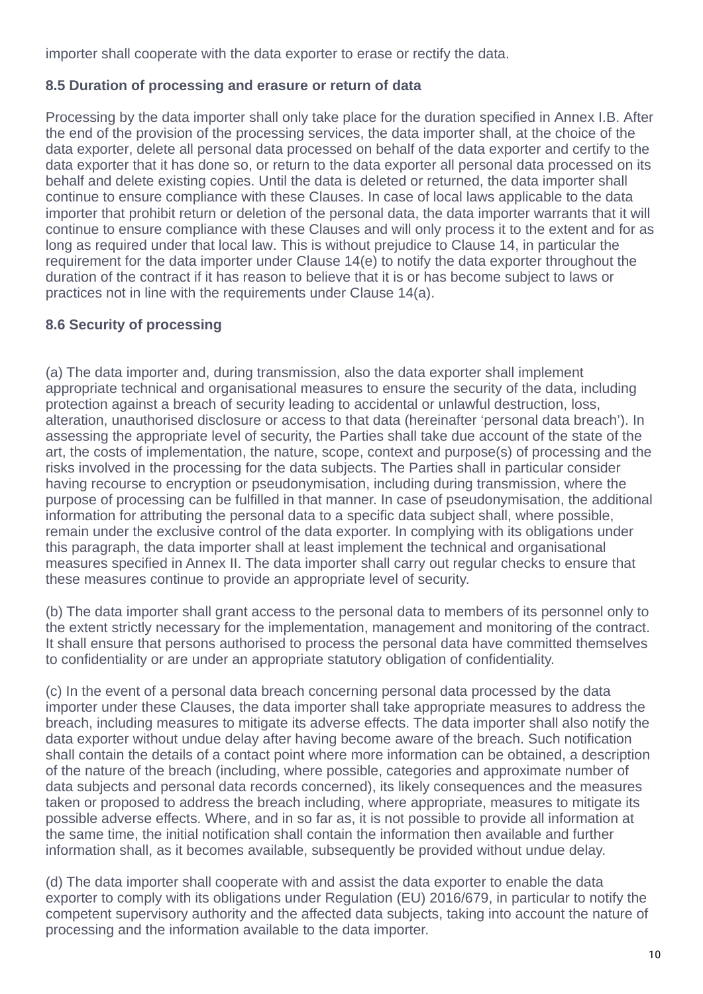importer shall cooperate with the data exporter to erase or rectify the data.

# **8.5 Duration of processing and erasure or return of data**

Processing by the data importer shall only take place for the duration specified in Annex I.B. After the end of the provision of the processing services, the data importer shall, at the choice of the data exporter, delete all personal data processed on behalf of the data exporter and certify to the data exporter that it has done so, or return to the data exporter all personal data processed on its behalf and delete existing copies. Until the data is deleted or returned, the data importer shall continue to ensure compliance with these Clauses. In case of local laws applicable to the data importer that prohibit return or deletion of the personal data, the data importer warrants that it will continue to ensure compliance with these Clauses and will only process it to the extent and for as long as required under that local law. This is without prejudice to Clause 14, in particular the requirement for the data importer under Clause 14(e) to notify the data exporter throughout the duration of the contract if it has reason to believe that it is or has become subject to laws or practices not in line with the requirements under Clause 14(a).

# **8.6 Security of processing**

(a) The data importer and, during transmission, also the data exporter shall implement appropriate technical and organisational measures to ensure the security of the data, including protection against a breach of security leading to accidental or unlawful destruction, loss, alteration, unauthorised disclosure or access to that data (hereinafter 'personal data breach'). In assessing the appropriate level of security, the Parties shall take due account of the state of the art, the costs of implementation, the nature, scope, context and purpose(s) of processing and the risks involved in the processing for the data subjects. The Parties shall in particular consider having recourse to encryption or pseudonymisation, including during transmission, where the purpose of processing can be fulfilled in that manner. In case of pseudonymisation, the additional information for attributing the personal data to a specific data subject shall, where possible, remain under the exclusive control of the data exporter. In complying with its obligations under this paragraph, the data importer shall at least implement the technical and organisational measures specified in Annex II. The data importer shall carry out regular checks to ensure that these measures continue to provide an appropriate level of security.

(b) The data importer shall grant access to the personal data to members of its personnel only to the extent strictly necessary for the implementation, management and monitoring of the contract. It shall ensure that persons authorised to process the personal data have committed themselves to confidentiality or are under an appropriate statutory obligation of confidentiality.

(c) In the event of a personal data breach concerning personal data processed by the data importer under these Clauses, the data importer shall take appropriate measures to address the breach, including measures to mitigate its adverse effects. The data importer shall also notify the data exporter without undue delay after having become aware of the breach. Such notification shall contain the details of a contact point where more information can be obtained, a description of the nature of the breach (including, where possible, categories and approximate number of data subjects and personal data records concerned), its likely consequences and the measures taken or proposed to address the breach including, where appropriate, measures to mitigate its possible adverse effects. Where, and in so far as, it is not possible to provide all information at the same time, the initial notification shall contain the information then available and further information shall, as it becomes available, subsequently be provided without undue delay.

(d) The data importer shall cooperate with and assist the data exporter to enable the data exporter to comply with its obligations under Regulation (EU) 2016/679, in particular to notify the competent supervisory authority and the affected data subjects, taking into account the nature of processing and the information available to the data importer.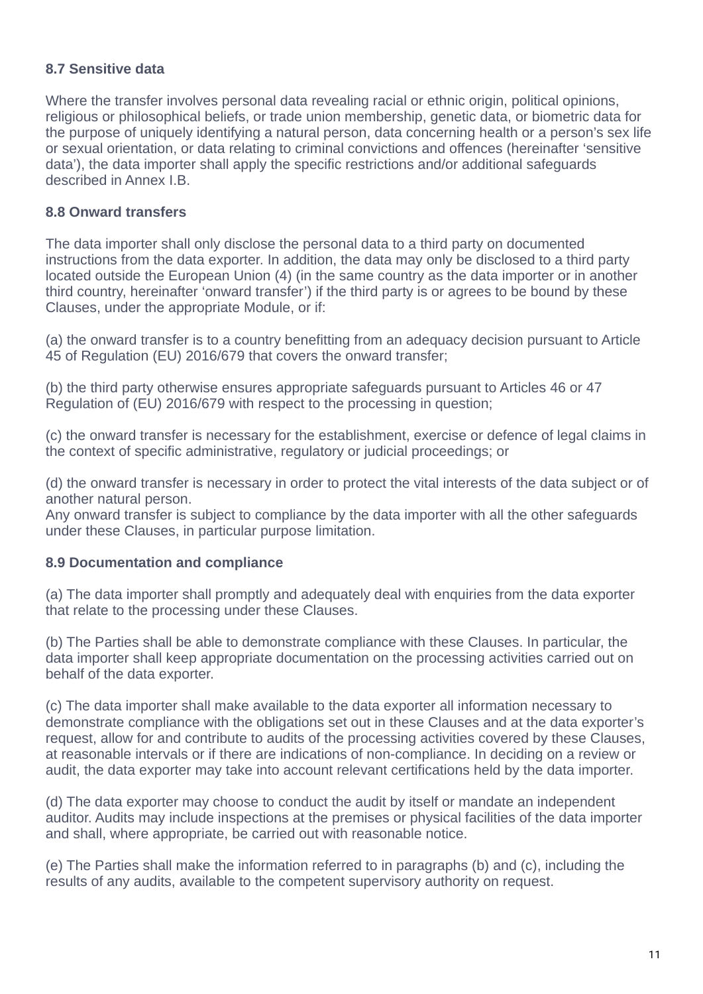# **8.7 Sensitive data**

Where the transfer involves personal data revealing racial or ethnic origin, political opinions, religious or philosophical beliefs, or trade union membership, genetic data, or biometric data for the purpose of uniquely identifying a natural person, data concerning health or a person's sex life or sexual orientation, or data relating to criminal convictions and offences (hereinafter 'sensitive data'), the data importer shall apply the specific restrictions and/or additional safeguards described in Annex LR

## **8.8 Onward transfers**

The data importer shall only disclose the personal data to a third party on documented instructions from the data exporter. In addition, the data may only be disclosed to a third party located outside the European Union (4) (in the same country as the data importer or in another third country, hereinafter 'onward transfer') if the third party is or agrees to be bound by these Clauses, under the appropriate Module, or if:

(a) the onward transfer is to a country benefitting from an adequacy decision pursuant to Article 45 of Regulation (EU) 2016/679 that covers the onward transfer;

(b) the third party otherwise ensures appropriate safeguards pursuant to Articles 46 or 47 Regulation of (EU) 2016/679 with respect to the processing in question;

(c) the onward transfer is necessary for the establishment, exercise or defence of legal claims in the context of specific administrative, regulatory or judicial proceedings; or

(d) the onward transfer is necessary in order to protect the vital interests of the data subject or of another natural person.

Any onward transfer is subject to compliance by the data importer with all the other safeguards under these Clauses, in particular purpose limitation.

#### **8.9 Documentation and compliance**

(a) The data importer shall promptly and adequately deal with enquiries from the data exporter that relate to the processing under these Clauses.

(b) The Parties shall be able to demonstrate compliance with these Clauses. In particular, the data importer shall keep appropriate documentation on the processing activities carried out on behalf of the data exporter.

(c) The data importer shall make available to the data exporter all information necessary to demonstrate compliance with the obligations set out in these Clauses and at the data exporter's request, allow for and contribute to audits of the processing activities covered by these Clauses, at reasonable intervals or if there are indications of non-compliance. In deciding on a review or audit, the data exporter may take into account relevant certifications held by the data importer.

(d) The data exporter may choose to conduct the audit by itself or mandate an independent auditor. Audits may include inspections at the premises or physical facilities of the data importer and shall, where appropriate, be carried out with reasonable notice.

(e) The Parties shall make the information referred to in paragraphs (b) and (c), including the results of any audits, available to the competent supervisory authority on request.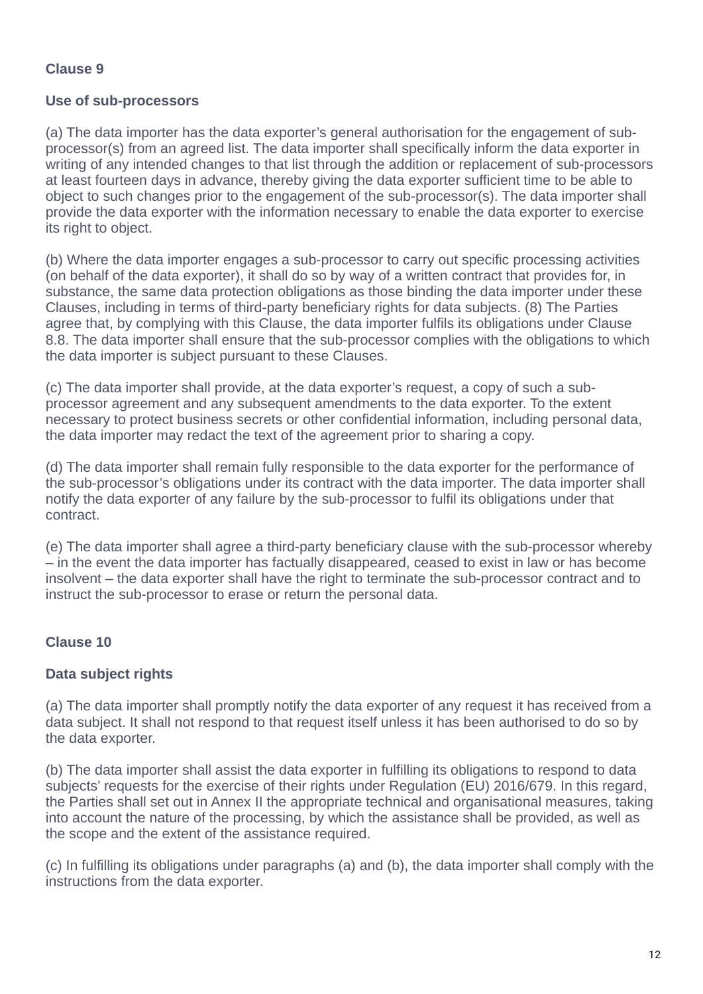# **Clause 9**

## **Use of sub-processors**

(a) The data importer has the data exporter's general authorisation for the engagement of subprocessor(s) from an agreed list. The data importer shall specifically inform the data exporter in writing of any intended changes to that list through the addition or replacement of sub-processors at least fourteen days in advance, thereby giving the data exporter sufficient time to be able to object to such changes prior to the engagement of the sub-processor(s). The data importer shall provide the data exporter with the information necessary to enable the data exporter to exercise its right to object.

(b) Where the data importer engages a sub-processor to carry out specific processing activities (on behalf of the data exporter), it shall do so by way of a written contract that provides for, in substance, the same data protection obligations as those binding the data importer under these Clauses, including in terms of third-party beneficiary rights for data subjects. (8) The Parties agree that, by complying with this Clause, the data importer fulfils its obligations under Clause 8.8. The data importer shall ensure that the sub-processor complies with the obligations to which the data importer is subject pursuant to these Clauses.

(c) The data importer shall provide, at the data exporter's request, a copy of such a subprocessor agreement and any subsequent amendments to the data exporter. To the extent necessary to protect business secrets or other confidential information, including personal data, the data importer may redact the text of the agreement prior to sharing a copy.

(d) The data importer shall remain fully responsible to the data exporter for the performance of the sub-processor's obligations under its contract with the data importer. The data importer shall notify the data exporter of any failure by the sub-processor to fulfil its obligations under that contract.

(e) The data importer shall agree a third-party beneficiary clause with the sub-processor whereby  $-$  in the event the data importer has factually disappeared, ceased to exist in law or has become insolvent – the data exporter shall have the right to terminate the sub-processor contract and to instruct the sub-processor to erase or return the personal data.

# **Clause 10**

# **Data subject rights**

(a) The data importer shall promptly notify the data exporter of any request it has received from a data subject. It shall not respond to that request itself unless it has been authorised to do so by the data exporter.

(b) The data importer shall assist the data exporter in fulfilling its obligations to respond to data subjects' requests for the exercise of their rights under Regulation (EU) 2016/679. In this regard, the Parties shall set out in Annex II the appropriate technical and organisational measures, taking into account the nature of the processing, by which the assistance shall be provided, as well as the scope and the extent of the assistance required.

(c) In fulfilling its obligations under paragraphs (a) and (b), the data importer shall comply with the instructions from the data exporter.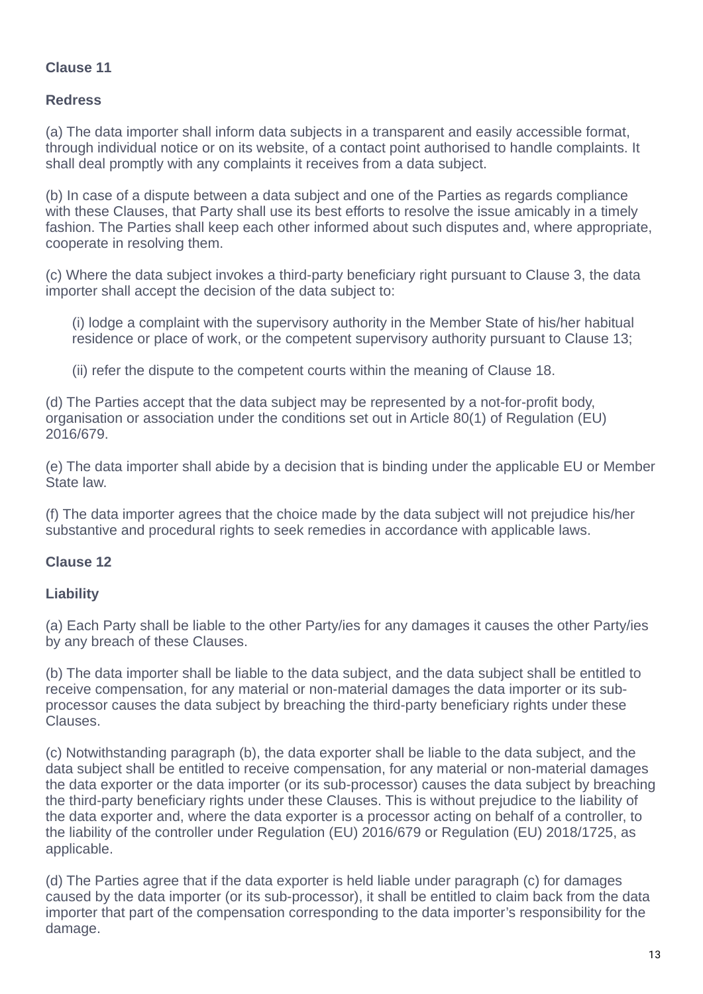# **Clause 11**

# **Redress**

(a) The data importer shall inform data subjects in a transparent and easily accessible format, through individual notice or on its website, of a contact point authorised to handle complaints. It shall deal promptly with any complaints it receives from a data subject.

(b) In case of a dispute between a data subject and one of the Parties as regards compliance with these Clauses, that Party shall use its best efforts to resolve the issue amicably in a timely fashion. The Parties shall keep each other informed about such disputes and, where appropriate, cooperate in resolving them.

(c) Where the data subject invokes a third-party beneficiary right pursuant to Clause 3, the data importer shall accept the decision of the data subject to:

(i) lodge a complaint with the supervisory authority in the Member State of his/her habitual residence or place of work, or the competent supervisory authority pursuant to Clause 13;

(ii) refer the dispute to the competent courts within the meaning of Clause 18.

(d) The Parties accept that the data subject may be represented by a not-for-profit body, organisation or association under the conditions set out in Article 80(1) of Regulation (EU) 2016/679.

(e) The data importer shall abide by a decision that is binding under the applicable EU or Member State law.

(f) The data importer agrees that the choice made by the data subject will not prejudice his/her substantive and procedural rights to seek remedies in accordance with applicable laws.

# **Clause 12**

# **Liability**

(a) Each Party shall be liable to the other Party/ies for any damages it causes the other Party/ies by any breach of these Clauses.

(b) The data importer shall be liable to the data subject, and the data subject shall be entitled to receive compensation, for any material or non-material damages the data importer or its subprocessor causes the data subject by breaching the third-party beneficiary rights under these Clauses.

(c) Notwithstanding paragraph (b), the data exporter shall be liable to the data subject, and the data subject shall be entitled to receive compensation, for any material or non-material damages the data exporter or the data importer (or its sub-processor) causes the data subject by breaching the third-party beneficiary rights under these Clauses. This is without prejudice to the liability of the data exporter and, where the data exporter is a processor acting on behalf of a controller, to the liability of the controller under Regulation (EU) 2016/679 or Regulation (EU) 2018/1725, as applicable.

(d) The Parties agree that if the data exporter is held liable under paragraph (c) for damages caused by the data importer (or its sub-processor), it shall be entitled to claim back from the data importer that part of the compensation corresponding to the data importer's responsibility for the damage.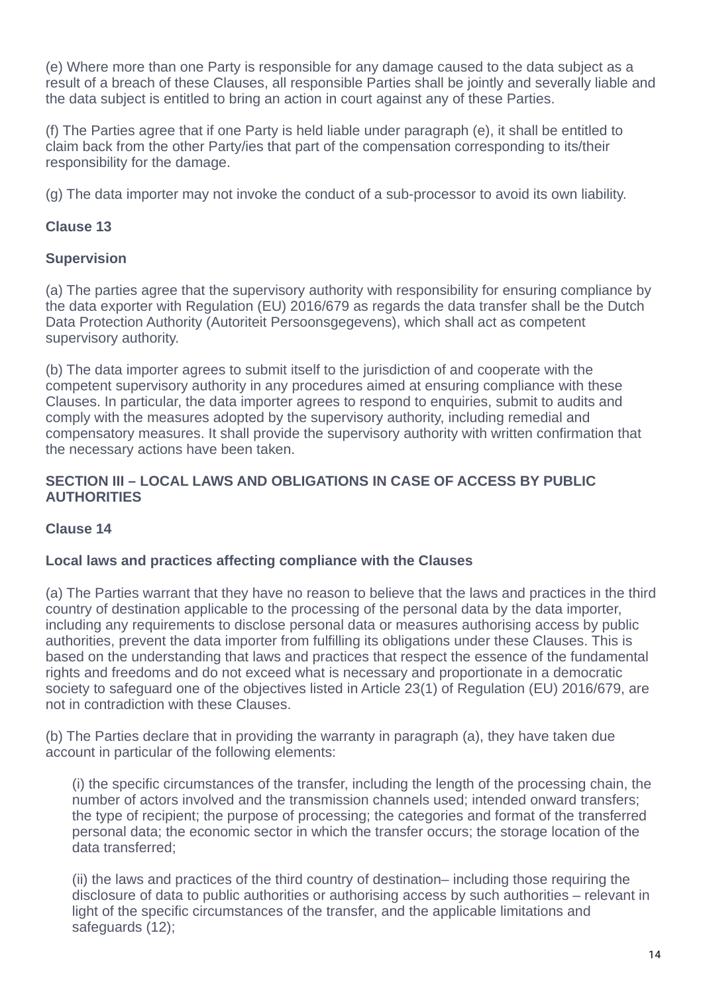(e) Where more than one Party is responsible for any damage caused to the data subject as a result of a breach of these Clauses, all responsible Parties shall be jointly and severally liable and the data subject is entitled to bring an action in court against any of these Parties.

(f) The Parties agree that if one Party is held liable under paragraph (e), it shall be entitled to claim back from the other Party/ies that part of the compensation corresponding to its/their responsibility for the damage.

(g) The data importer may not invoke the conduct of a sub-processor to avoid its own liability.

# **Clause 13**

# **Supervision**

(a) The parties agree that the supervisory authority with responsibility for ensuring compliance by the data exporter with Regulation (EU) 2016/679 as regards the data transfer shall be the Dutch Data Protection Authority (Autoriteit Persoonsgegevens), which shall act as competent supervisory authority.

(b) The data importer agrees to submit itself to the jurisdiction of and cooperate with the competent supervisory authority in any procedures aimed at ensuring compliance with these Clauses. In particular, the data importer agrees to respond to enquiries, submit to audits and comply with the measures adopted by the supervisory authority, including remedial and compensatory measures. It shall provide the supervisory authority with written confirmation that the necessary actions have been taken.

## **SECTION III – LOCAL LAWS AND OBLIGATIONS IN CASE OF ACCESS BY PUBLIC AUTHORITIES**

# **Clause 14**

#### **Local laws and practices affecting compliance with the Clauses**

(a) The Parties warrant that they have no reason to believe that the laws and practices in the third country of destination applicable to the processing of the personal data by the data importer, including any requirements to disclose personal data or measures authorising access by public authorities, prevent the data importer from fulfilling its obligations under these Clauses. This is based on the understanding that laws and practices that respect the essence of the fundamental rights and freedoms and do not exceed what is necessary and proportionate in a democratic society to safeguard one of the objectives listed in Article 23(1) of Regulation (EU) 2016/679, are not in contradiction with these Clauses.

(b) The Parties declare that in providing the warranty in paragraph (a), they have taken due account in particular of the following elements:

(i) the specific circumstances of the transfer, including the length of the processing chain, the number of actors involved and the transmission channels used; intended onward transfers; the type of recipient; the purpose of processing; the categories and format of the transferred personal data; the economic sector in which the transfer occurs; the storage location of the data transferred;

(ii) the laws and practices of the third country of destination– including those requiring the disclosure of data to public authorities or authorising access by such authorities – relevant in light of the specific circumstances of the transfer, and the applicable limitations and safeguards (12);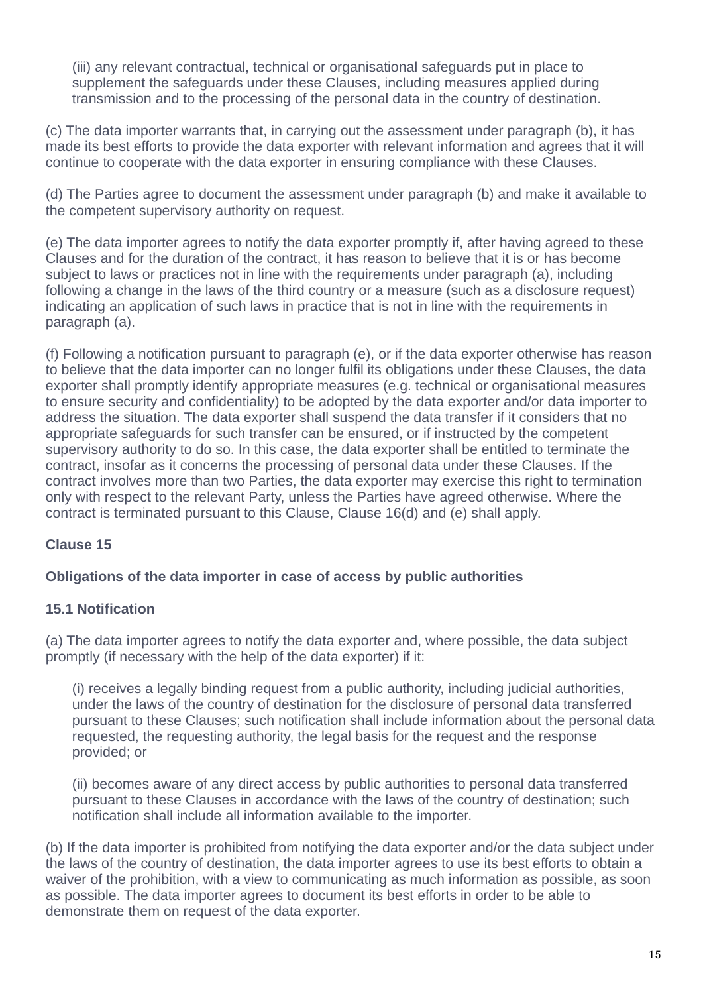(iii) any relevant contractual, technical or organisational safeguards put in place to supplement the safeguards under these Clauses, including measures applied during transmission and to the processing of the personal data in the country of destination.

(c) The data importer warrants that, in carrying out the assessment under paragraph (b), it has made its best efforts to provide the data exporter with relevant information and agrees that it will continue to cooperate with the data exporter in ensuring compliance with these Clauses.

(d) The Parties agree to document the assessment under paragraph (b) and make it available to the competent supervisory authority on request.

(e) The data importer agrees to notify the data exporter promptly if, after having agreed to these Clauses and for the duration of the contract, it has reason to believe that it is or has become subject to laws or practices not in line with the requirements under paragraph (a), including following a change in the laws of the third country or a measure (such as a disclosure request) indicating an application of such laws in practice that is not in line with the requirements in paragraph (a).

(f) Following a notification pursuant to paragraph (e), or if the data exporter otherwise has reason to believe that the data importer can no longer fulfil its obligations under these Clauses, the data exporter shall promptly identify appropriate measures (e.g. technical or organisational measures to ensure security and confidentiality) to be adopted by the data exporter and/or data importer to address the situation. The data exporter shall suspend the data transfer if it considers that no appropriate safeguards for such transfer can be ensured, or if instructed by the competent supervisory authority to do so. In this case, the data exporter shall be entitled to terminate the contract, insofar as it concerns the processing of personal data under these Clauses. If the contract involves more than two Parties, the data exporter may exercise this right to termination only with respect to the relevant Party, unless the Parties have agreed otherwise. Where the contract is terminated pursuant to this Clause, Clause 16(d) and (e) shall apply.

# **Clause 15**

#### **Obligations of the data importer in case of access by public authorities**

#### **15.1 Notification**

(a) The data importer agrees to notify the data exporter and, where possible, the data subject promptly (if necessary with the help of the data exporter) if it:

(i) receives a legally binding request from a public authority, including judicial authorities, under the laws of the country of destination for the disclosure of personal data transferred pursuant to these Clauses; such notification shall include information about the personal data requested, the requesting authority, the legal basis for the request and the response provided; or

(ii) becomes aware of any direct access by public authorities to personal data transferred pursuant to these Clauses in accordance with the laws of the country of destination; such notification shall include all information available to the importer.

(b) If the data importer is prohibited from notifying the data exporter and/or the data subject under the laws of the country of destination, the data importer agrees to use its best efforts to obtain a waiver of the prohibition, with a view to communicating as much information as possible, as soon as possible. The data importer agrees to document its best efforts in order to be able to demonstrate them on request of the data exporter.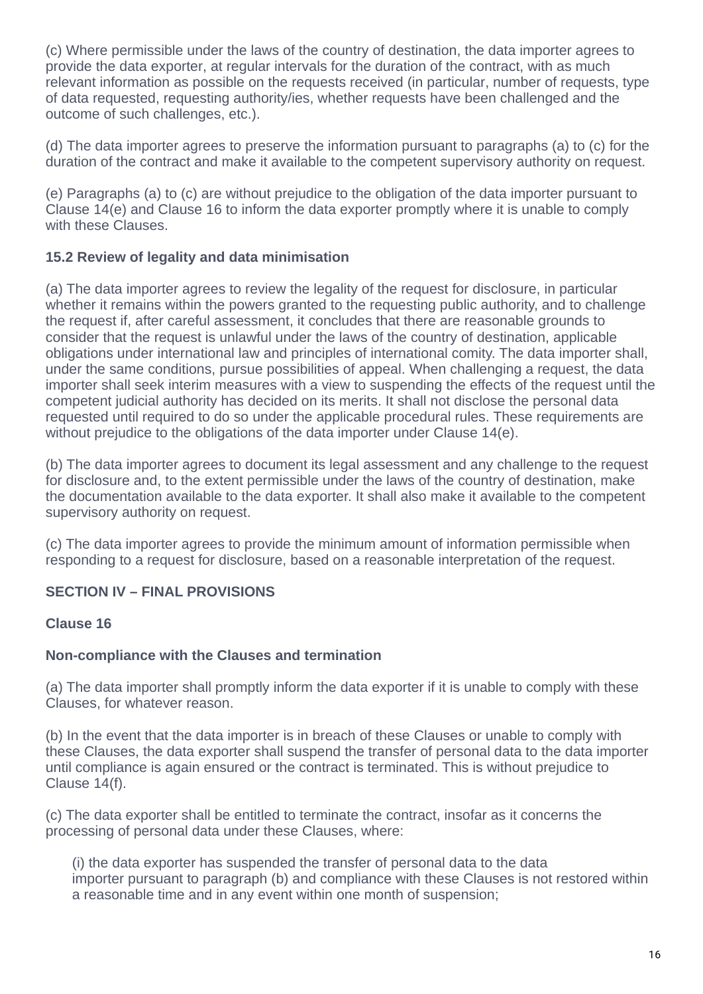(c) Where permissible under the laws of the country of destination, the data importer agrees to provide the data exporter, at regular intervals for the duration of the contract, with as much relevant information as possible on the requests received (in particular, number of requests, type of data requested, requesting authority/ies, whether requests have been challenged and the outcome of such challenges, etc.).

(d) The data importer agrees to preserve the information pursuant to paragraphs (a) to (c) for the duration of the contract and make it available to the competent supervisory authority on request.

(e) Paragraphs (a) to (c) are without prejudice to the obligation of the data importer pursuant to Clause 14(e) and Clause 16 to inform the data exporter promptly where it is unable to comply with these Clauses.

# **15.2 Review of legality and data minimisation**

(a) The data importer agrees to review the legality of the request for disclosure, in particular whether it remains within the powers granted to the requesting public authority, and to challenge the request if, after careful assessment, it concludes that there are reasonable grounds to consider that the request is unlawful under the laws of the country of destination, applicable obligations under international law and principles of international comity. The data importer shall, under the same conditions, pursue possibilities of appeal. When challenging a request, the data importer shall seek interim measures with a view to suspending the effects of the request until the competent judicial authority has decided on its merits. It shall not disclose the personal data requested until required to do so under the applicable procedural rules. These requirements are without prejudice to the obligations of the data importer under Clause 14(e).

(b) The data importer agrees to document its legal assessment and any challenge to the request for disclosure and, to the extent permissible under the laws of the country of destination, make the documentation available to the data exporter. It shall also make it available to the competent supervisory authority on request.

(c) The data importer agrees to provide the minimum amount of information permissible when responding to a request for disclosure, based on a reasonable interpretation of the request.

# **SECTION IV – FINAL PROVISIONS**

# **Clause 16**

# **Non-compliance with the Clauses and termination**

(a) The data importer shall promptly inform the data exporter if it is unable to comply with these Clauses, for whatever reason.

(b) In the event that the data importer is in breach of these Clauses or unable to comply with these Clauses, the data exporter shall suspend the transfer of personal data to the data importer until compliance is again ensured or the contract is terminated. This is without prejudice to Clause 14(f).

(c) The data exporter shall be entitled to terminate the contract, insofar as it concerns the processing of personal data under these Clauses, where:

(i) the data exporter has suspended the transfer of personal data to the data importer pursuant to paragraph (b) and compliance with these Clauses is not restored within a reasonable time and in any event within one month of suspension;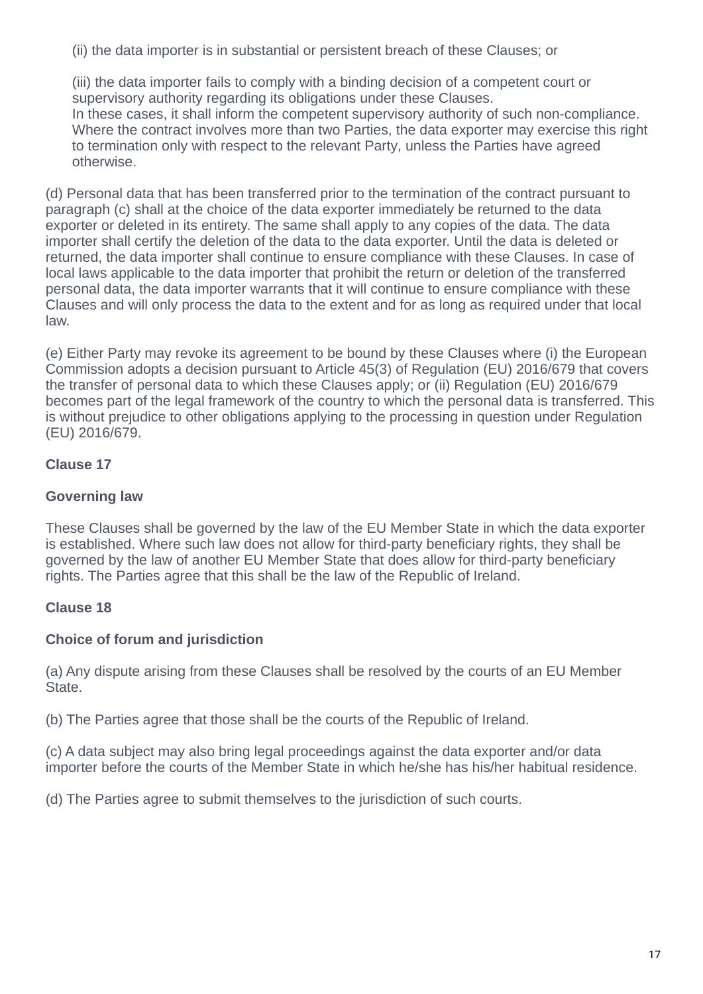(ii) the data importer is in substantial or persistent breach of these Clauses; or

(iii) the data importer fails to comply with a binding decision of a competent court or supervisory authority regarding its obligations under these Clauses. In these cases, it shall inform the competent supervisory authority of such non-compliance. Where the contract involves more than two Parties, the data exporter may exercise this right to termination only with respect to the relevant Party, unless the Parties have agreed otherwise.

(d) Personal data that has been transferred prior to the termination of the contract pursuant to paragraph (c) shall at the choice of the data exporter immediately be returned to the data exporter or deleted in its entirety. The same shall apply to any copies of the data. The data importer shall certify the deletion of the data to the data exporter. Until the data is deleted or returned, the data importer shall continue to ensure compliance with these Clauses. In case of local laws applicable to the data importer that prohibit the return or deletion of the transferred personal data, the data importer warrants that it will continue to ensure compliance with these Clauses and will only process the data to the extent and for as long as required under that local law.

(e) Either Party may revoke its agreement to be bound by these Clauses where (i) the European Commission adopts a decision pursuant to Article 45(3) of Regulation (EU) 2016/679 that covers the transfer of personal data to which these Clauses apply; or (ii) Regulation (EU) 2016/679 becomes part of the legal framework of the country to which the personal data is transferred. This is without prejudice to other obligations applying to the processing in question under Regulation (EU) 2016/679.

# **Clause 17**

# **Governing law**

These Clauses shall be governed by the law of the EU Member State in which the data exporter is established. Where such law does not allow for third-party beneficiary rights, they shall be governed by the law of another EU Member State that does allow for third-party beneficiary rights. The Parties agree that this shall be the law of the Republic of Ireland.

# **Clause 18**

# **Choice of forum and jurisdiction**

(a) Any dispute arising from these Clauses shall be resolved by the courts of an EU Member State.

(b) The Parties agree that those shall be the courts of the Republic of Ireland.

(c) A data subject may also bring legal proceedings against the data exporter and/or data importer before the courts of the Member State in which he/she has his/her habitual residence.

(d) The Parties agree to submit themselves to the jurisdiction of such courts.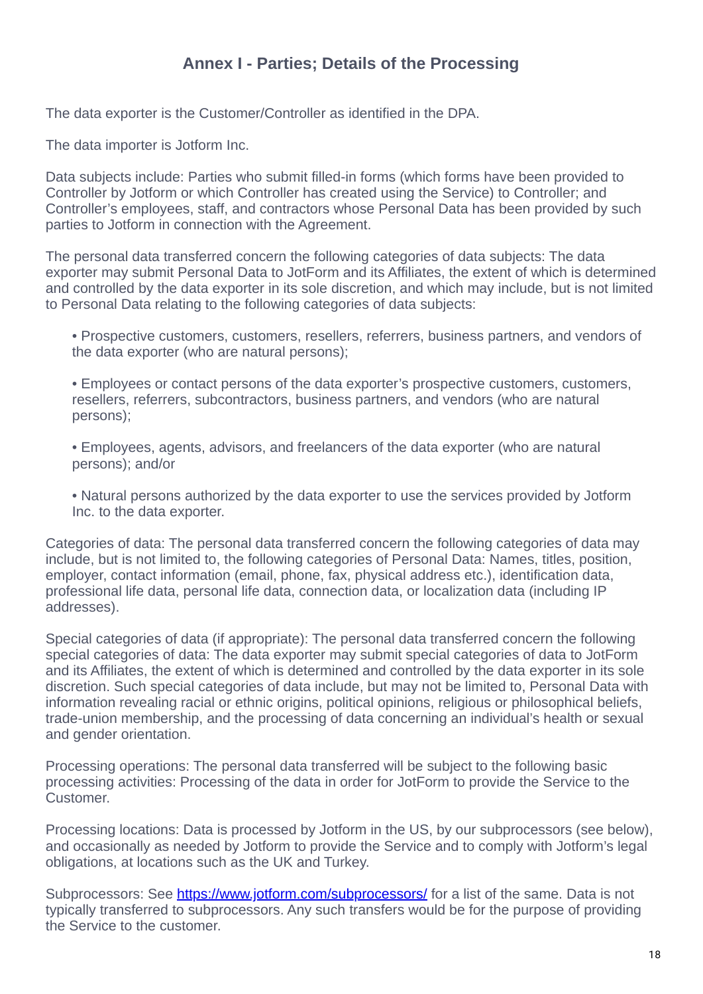# **Annex I - Parties; Details of the Processing**

The data exporter is the Customer/Controller as identified in the DPA.

The data importer is Jotform Inc.

Data subjects include: Parties who submit filled-in forms (which forms have been provided to Controller by Jotform or which Controller has created using the Service) to Controller; and Controller's employees, staff, and contractors whose Personal Data has been provided by such parties to Jotform in connection with the Agreement.

The personal data transferred concern the following categories of data subjects: The data exporter may submit Personal Data to JotForm and its Affiliates, the extent of which is determined and controlled by the data exporter in its sole discretion, and which may include, but is not limited to Personal Data relating to the following categories of data subjects:

• Prospective customers, customers, resellers, referrers, business partners, and vendors of the data exporter (who are natural persons);

• Employees or contact persons of the data exporter's prospective customers, customers, resellers, referrers, subcontractors, business partners, and vendors (who are natural persons);

• Employees, agents, advisors, and freelancers of the data exporter (who are natural persons); and/or

• Natural persons authorized by the data exporter to use the services provided by Jotform Inc. to the data exporter.

Categories of data: The personal data transferred concern the following categories of data may include, but is not limited to, the following categories of Personal Data: Names, titles, position, employer, contact information (email, phone, fax, physical address etc.), identification data, professional life data, personal life data, connection data, or localization data (including IP addresses).

Special categories of data (if appropriate): The personal data transferred concern the following special categories of data: The data exporter may submit special categories of data to JotForm and its Affiliates, the extent of which is determined and controlled by the data exporter in its sole discretion. Such special categories of data include, but may not be limited to, Personal Data with information revealing racial or ethnic origins, political opinions, religious or philosophical beliefs, trade-union membership, and the processing of data concerning an individual's health or sexual and gender orientation.

Processing operations: The personal data transferred will be subject to the following basic processing activities: Processing of the data in order for JotForm to provide the Service to the Customer.

Processing locations: Data is processed by Jotform in the US, by our subprocessors (see below), and occasionally as needed by Jotform to provide the Service and to comply with Jotform's legal obligations, at locations such as the UK and Turkey.

Subprocessors: See <https://www.jotform.com/subprocessors/>for a list of the same. Data is not typically transferred to subprocessors. Any such transfers would be for the purpose of providing the Service to the customer.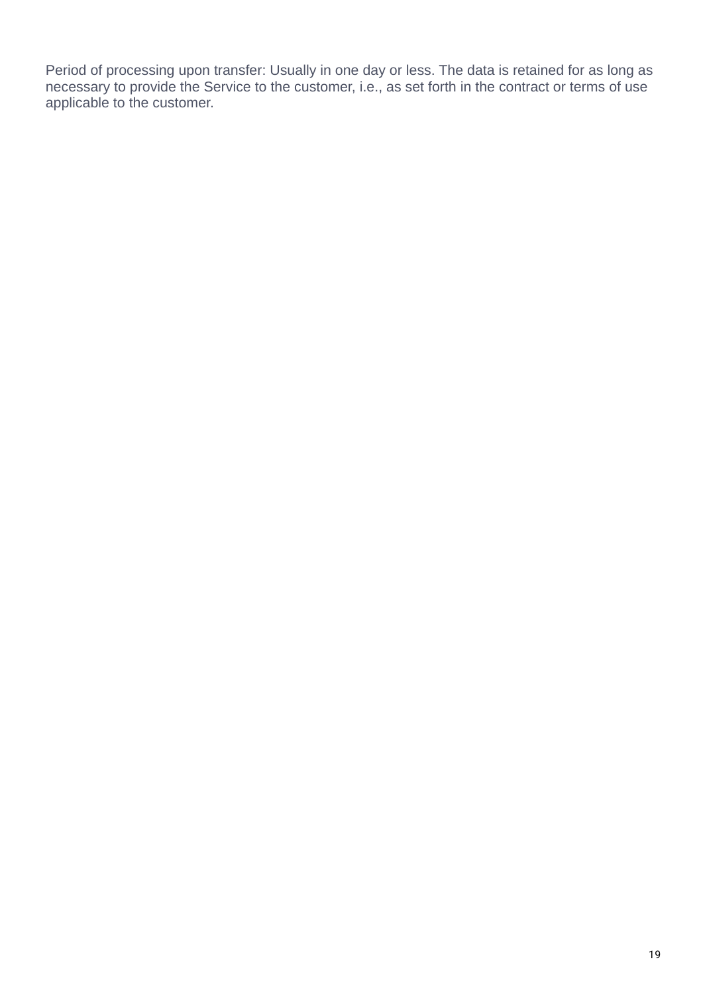Period of processing upon transfer: Usually in one day or less. The data is retained for as long as necessary to provide the Service to the customer, i.e., as set forth in the contract or terms of use applicable to the customer.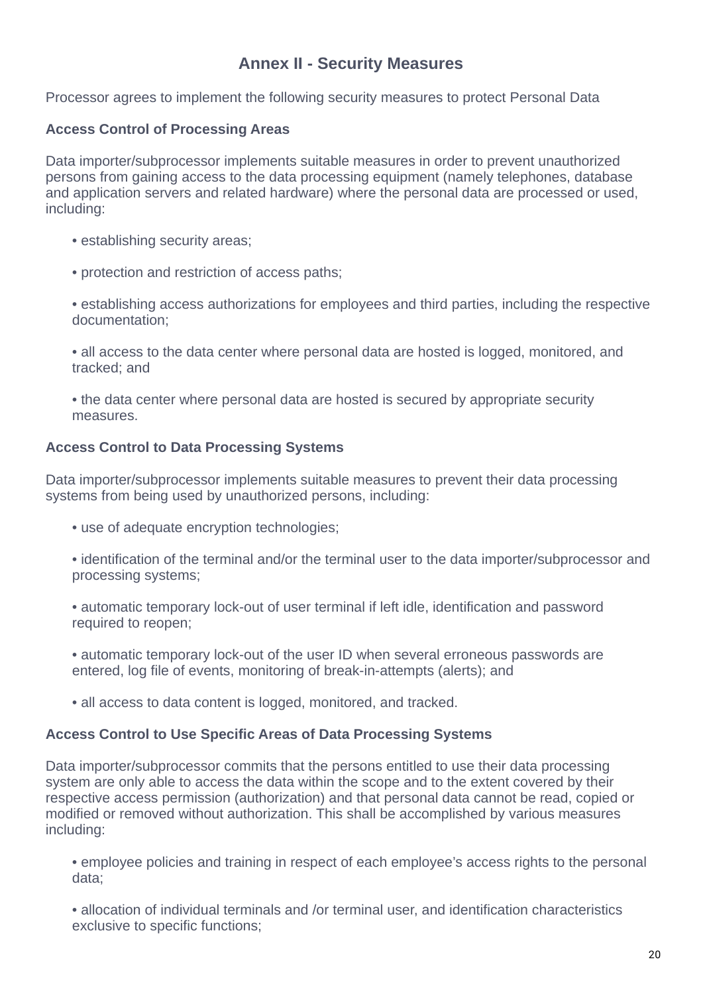# **Annex II - Security Measures**

Processor agrees to implement the following security measures to protect Personal Data

#### **Access Control of Processing Areas**

Data importer/subprocessor implements suitable measures in order to prevent unauthorized persons from gaining access to the data processing equipment (namely telephones, database and application servers and related hardware) where the personal data are processed or used, including:

- establishing security areas;
- protection and restriction of access paths;
- establishing access authorizations for employees and third parties, including the respective documentation;
- all access to the data center where personal data are hosted is logged, monitored, and tracked; and

• the data center where personal data are hosted is secured by appropriate security measures.

#### **Access Control to Data Processing Systems**

Data importer/subprocessor implements suitable measures to prevent their data processing systems from being used by unauthorized persons, including:

- use of adequate encryption technologies;
- identification of the terminal and/or the terminal user to the data importer/subprocessor and processing systems;
- automatic temporary lock-out of user terminal if left idle, identification and password required to reopen;
- automatic temporary lock-out of the user ID when several erroneous passwords are entered, log file of events, monitoring of break-in-attempts (alerts); and
- all access to data content is logged, monitored, and tracked.

#### **Access Control to Use Specific Areas of Data Processing Systems**

Data importer/subprocessor commits that the persons entitled to use their data processing system are only able to access the data within the scope and to the extent covered by their respective access permission (authorization) and that personal data cannot be read, copied or modified or removed without authorization. This shall be accomplished by various measures including:

• employee policies and training in respect of each employee's access rights to the personal data;

• allocation of individual terminals and /or terminal user, and identification characteristics exclusive to specific functions;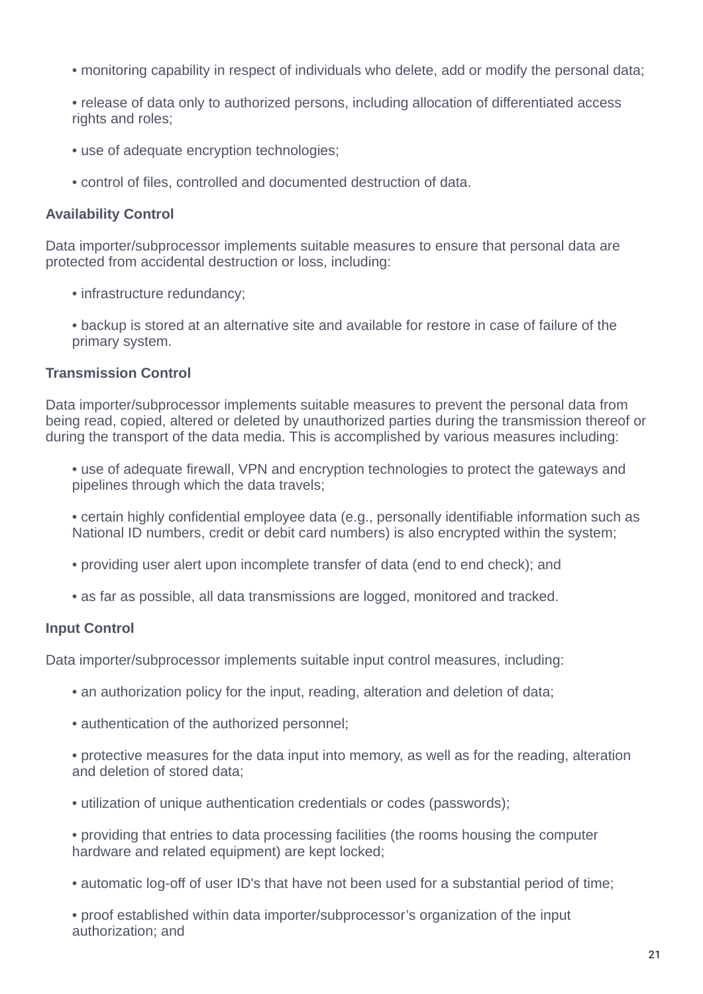- monitoring capability in respect of individuals who delete, add or modify the personal data;
- release of data only to authorized persons, including allocation of differentiated access rights and roles:
- use of adequate encryption technologies;
- control of files, controlled and documented destruction of data.

#### **Availability Control**

Data importer/subprocessor implements suitable measures to ensure that personal data are protected from accidental destruction or loss, including:

- infrastructure redundancy;
- backup is stored at an alternative site and available for restore in case of failure of the primary system.

#### **Transmission Control**

Data importer/subprocessor implements suitable measures to prevent the personal data from being read, copied, altered or deleted by unauthorized parties during the transmission thereof or during the transport of the data media. This is accomplished by various measures including:

- use of adequate firewall, VPN and encryption technologies to protect the gateways and pipelines through which the data travels;
- certain highly confidential employee data (e.g., personally identifiable information such as National ID numbers, credit or debit card numbers) is also encrypted within the system;
- providing user alert upon incomplete transfer of data (end to end check); and
- as far as possible, all data transmissions are logged, monitored and tracked.

#### **Input Control**

Data importer/subprocessor implements suitable input control measures, including:

- an authorization policy for the input, reading, alteration and deletion of data;
- authentication of the authorized personnel;
- protective measures for the data input into memory, as well as for the reading, alteration and deletion of stored data;
- utilization of unique authentication credentials or codes (passwords);
- providing that entries to data processing facilities (the rooms housing the computer hardware and related equipment) are kept locked;
- automatic log-off of user ID's that have not been used for a substantial period of time;

• proof established within data importer/subprocessor's organization of the input authorization; and